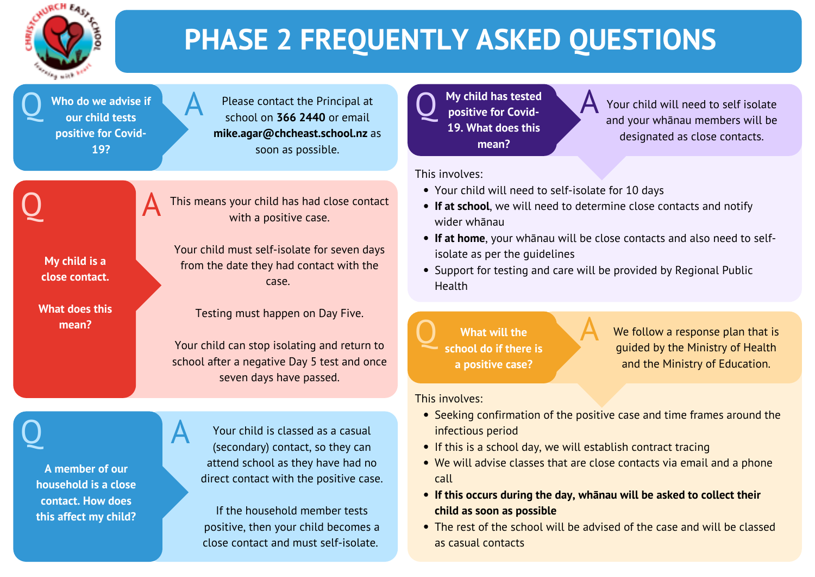

# **PHASE 2 FREQUENTLY ASKED QUESTIONS**

Q Who do we advise if **Who do we advise if our child tests positive for Covid-19?**

Please contact the Principal at school on **366 2440** or email **mike.agar@chcheast.school.nz** as soon as possible.

**My child is a close contact.**

**What does this mean?**

This means your child has had close contact

with a positive case.

**Q** My child has tested<br>positive for Covid**positive for Covid-19. What does this mean?**

Your child must self-isolate for seven days

from the date they had contact with the

• Seeking confirmation of the positive case and time frames around the infectious period

case.

Testing must happen on Day Five.

Your child can stop isolating and return to

school after a negative Day 5 test and once

seven days have passed.



Q A

• The rest of the school will be advised of the case and will be classed as casual contacts

We follow a response plan that is guided by the Ministry of Health and the Ministry of Education.

Your child will need to self isolate and your whānau members will be designated as close contacts.

- -
- **If this occurs during the day, whānau will be asked to collect their child as soon as possible**
- 
- If this is a school day, we will establish contract tracing We will advise classes that are close contacts via email and a phone call
- 
- 

 $\begin{array}{ccc}\n\bullet & \bullet & \bullet \\
\bullet & \bullet & \bullet & \bullet \\
\bullet & \bullet & \bullet & \bullet\n\end{array}$ **What will the school do if there is a positive case?**

This involves:

- Your child will need to self-isolate for 10 days
- **If at home**, your whānau will be close contacts and also need to selfisolate as per the guidelines
- 
- **If at school**, we will need to determine close contacts and notify wider whānau
- 
- Support for testing and care will be provided by Regional Public Health







This involves:



**A member of our**

**household is a close**

**contact. How does**

**this affect my child?**

Your child is classed as a casual (secondary) contact, so they can attend school as they have had no direct contact with the positive case.

If the household member tests positive, then your child becomes a close contact and must self-isolate.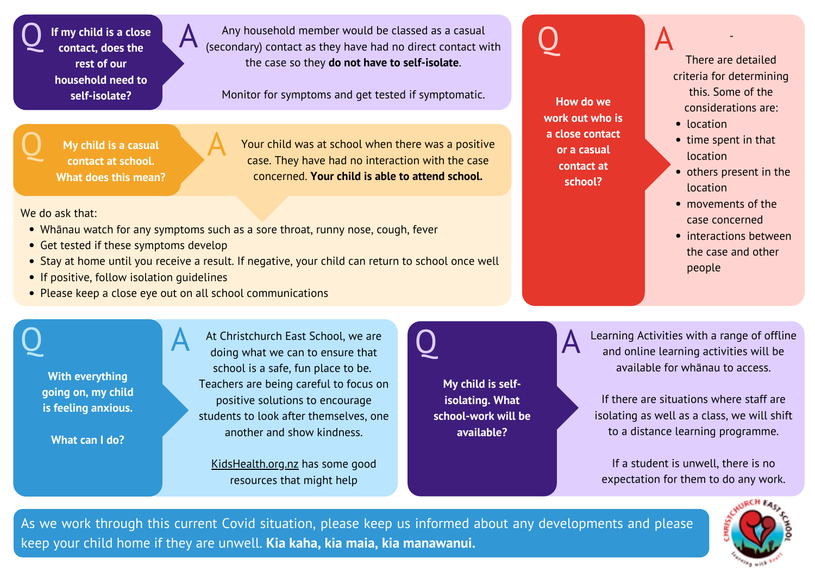$Q$  If my child is a close<br>
contact, does the **If my child is a close contact, does the rest of our household need to self-isolate?**

Any household member would be classed as a casual (secondary) contact as they have had no direct contact with the case so they **do not have to self-isolate**.

Monitor for symptoms and get tested if symptomatic. **How do we** 

- location
- $\bullet$  time spent in that location
- others present in the location
- movements of the case concerned
- interactions between the case and other people

Q A -There are detailed criteria for determining this. Some of the considerations are:

**work out who is a close contact or a casual contact at school?**

Q My child is a casual<br>Contact at school **My child is a casual contact at school. What does this mean?**

- Whānau watch for any symptoms such as a sore throat, runny nose, cough, fever
- Get tested if these symptoms develop
- Stay at home until you receive a result. If negative, your child can return to school once well
- If positive, follow isolation guidelines
- Please keep a close eye out on all school communications

## Q A

Q A **My child is selfisolating. What school-work will be available?**

Your child was at school when there was a positive case. They have had no interaction with the case concerned. **Your child is able to attend school.**

We do ask that:

**With everything going on, my child is feeling anxious.**

**What can I do?**

At Christchurch East School, we are doing what we can to ensure that school is a safe, fun place to be. Teachers are being careful to focus on positive solutions to encourage students to look after themselves, one another and show kindness.

[KidsHealth.org.nz](https://www.kidshealth.org.nz/coping-worry-anxiety-about-covid-19) has some good resources that might help

Learning Activities with a range of offline and online learning activities will be available for whānau to access.

If there are situations where staff are isolating as well as a class, we will shift to a distance learning programme.

If a student is unwell, there is no expectation for them to do any work.



As we work through this current Covid situation, please keep us informed about any developments and please keep your child home if they are unwell. **Kia kaha, kia maia, kia manawanui.**